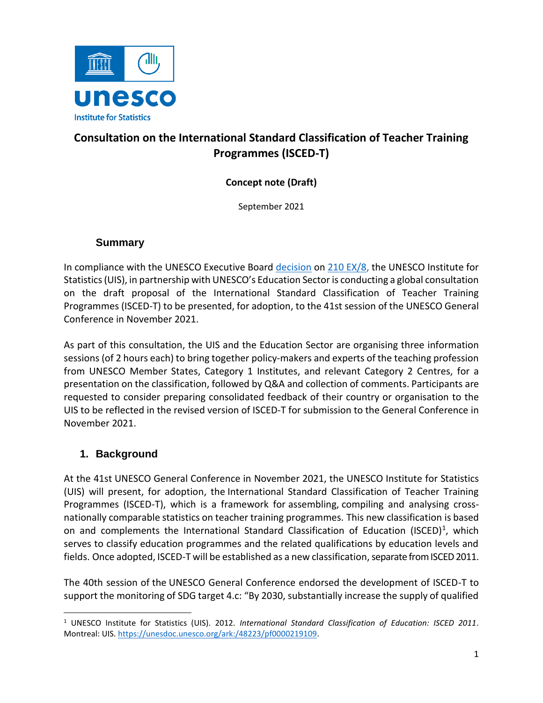

# **Consultation on the International Standard Classification of Teacher Training Programmes (ISCED-T)**

**Concept note (Draft)**

September 2021

#### **Summary**

In compliance with the UNESCO Executive Board [decision](https://unesdoc.unesco.org/ark:/48223/pf0000372579) on [210 EX/8,](https://unesdoc.unesco.org/ark:/48223/pf0000374515.locale=en) the UNESCO Institute for Statistics (UIS), in partnership with UNESCO's Education Sector is conducting a global consultation on the draft proposal of the International Standard Classification of Teacher Training Programmes (ISCED-T) to be presented, for adoption, to the 41st session of the UNESCO General Conference in November 2021.

As part of this consultation, the UIS and the Education Sector are organising three information sessions (of 2 hours each) to bring together policy-makers and experts of the teaching profession from UNESCO Member States, Category 1 Institutes, and relevant Category 2 Centres, for a presentation on the classification, followed by Q&A and collection of comments. Participants are requested to consider preparing consolidated feedback of their country or organisation to the UIS to be reflected in the revised version of ISCED-T for submission to the General Conference in November 2021.

#### **1. Background**

At the 41st UNESCO General Conference in November 2021, the UNESCO Institute for Statistics (UIS) will present, for adoption, the International Standard Classification of Teacher Training Programmes (ISCED-T), which is a framework for assembling, compiling and analysing crossnationally comparable statistics on teacher training programmes. This new classification is based on and complements the International Standard Classification of Education (ISCED)<sup>1</sup>, which serves to classify education programmes and the related qualifications by education levels and fields. Once adopted, ISCED-T will be established as a new classification, separate from ISCED 2011.

The 40th session of the UNESCO General Conference endorsed the development of ISCED-T to support the monitoring of SDG target 4.c: "By 2030, substantially increase the supply of qualified

<sup>1</sup> UNESCO Institute for Statistics (UIS). 2012. *International Standard Classification of Education: ISCED 2011*. Montreal: UIS. [https://unesdoc.unesco.org/ark:/48223/pf0000219109.](https://unesdoc.unesco.org/ark:/48223/pf0000219109)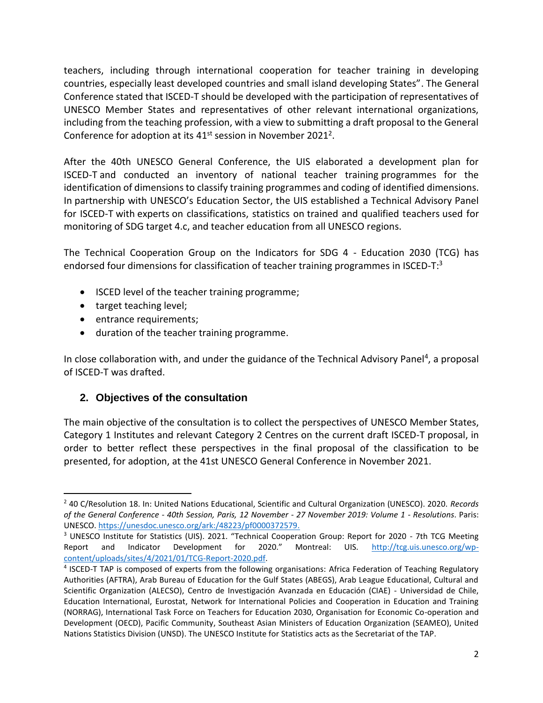teachers, including through international cooperation for teacher training in developing countries, especially least developed countries and small island developing States". The General Conference stated that ISCED-T should be developed with the participation of representatives of UNESCO Member States and representatives of other relevant international organizations, including from the teaching profession, with a view to submitting a draft proposal to the General Conference for adoption at its  $41<sup>st</sup>$  session in November 2021<sup>2</sup>.

After the 40th UNESCO General Conference, the UIS elaborated a development plan for ISCED-T and conducted an inventory of national teacher training programmes for the identification of dimensions to classify training programmes and coding of identified dimensions. In partnership with UNESCO's Education Sector, the UIS established a Technical Advisory Panel for ISCED-T with experts on classifications, statistics on trained and qualified teachers used for monitoring of SDG target 4.c, and teacher education from all UNESCO regions.

The Technical Cooperation Group on the Indicators for SDG 4 - Education 2030 (TCG) has endorsed four dimensions for classification of teacher training programmes in ISCED-T:<sup>3</sup>

- ISCED level of the teacher training programme;
- target teaching level;

 $\overline{\phantom{a}}$ 

- **•** entrance requirements;
- duration of the teacher training programme.

In close collaboration with, and under the guidance of the Technical Advisory Panel<sup>4</sup>, a proposal of ISCED-T was drafted.

#### **2. Objectives of the consultation**

The main objective of the consultation is to collect the perspectives of UNESCO Member States, Category 1 Institutes and relevant Category 2 Centres on the current draft ISCED-T proposal, in order to better reflect these perspectives in the final proposal of the classification to be presented, for adoption, at the 41st UNESCO General Conference in November 2021.

<sup>2</sup> 40 C/Resolution 18. In: United Nations Educational, Scientific and Cultural Organization (UNESCO). 2020. *Records of the General Conference - 40th Session, Paris, 12 November - 27 November 2019: Volume 1 - Resolutions*. Paris: UNESCO. [https://unesdoc.unesco.org/ark:/48223/pf0000372579.](https://unesdoc.unesco.org/ark:/48223/pf0000372579)

<sup>&</sup>lt;sup>3</sup> UNESCO Institute for Statistics (UIS). 2021. "Technical Cooperation Group: Report for 2020 - 7th TCG Meeting Report and Indicator Development for 2020." Montreal: UIS. [http://tcg.uis.unesco.org/wp](http://tcg.uis.unesco.org/wp-content/uploads/sites/4/2021/01/TCG-Report-2020.pdf)[content/uploads/sites/4/2021/01/TCG-Report-2020.pdf.](http://tcg.uis.unesco.org/wp-content/uploads/sites/4/2021/01/TCG-Report-2020.pdf)

<sup>&</sup>lt;sup>4</sup> ISCED-T TAP is composed of experts from the following organisations: Africa Federation of Teaching Regulatory Authorities (AFTRA), Arab Bureau of Education for the Gulf States (ABEGS), Arab League Educational, Cultural and Scientific Organization (ALECSO), Centro de Investigación Avanzada en Educación (CIAE) - Universidad de Chile, Education International, Eurostat, Network for International Policies and Cooperation in Education and Training (NORRAG), International Task Force on Teachers for Education 2030, Organisation for Economic Co-operation and Development (OECD), Pacific Community, Southeast Asian Ministers of Education Organization (SEAMEO), United Nations Statistics Division (UNSD). The UNESCO Institute for Statistics acts as the Secretariat of the TAP.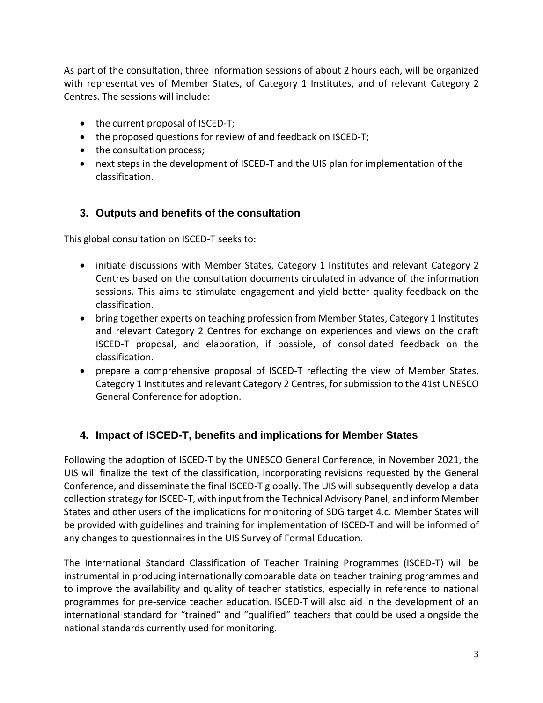As part of the consultation, three information sessions of about 2 hours each, will be organized with representatives of Member States, of Category 1 Institutes, and of relevant Category 2 Centres. The sessions will include:

- the current proposal of ISCED-T;
- the proposed questions for review of and feedback on ISCED-T;
- the consultation process;
- next steps in the development of ISCED-T and the UIS plan for implementation of the classification.

### **3. Outputs and benefits of the consultation**

This global consultation on ISCED-T seeks to:

- initiate discussions with Member States, Category 1 Institutes and relevant Category 2 Centres based on the consultation documents circulated in advance of the information sessions. This aims to stimulate engagement and yield better quality feedback on the classification.
- bring together experts on teaching profession from Member States, Category 1 Institutes and relevant Category 2 Centres for exchange on experiences and views on the draft ISCED-T proposal, and elaboration, if possible, of consolidated feedback on the classification.
- prepare a comprehensive proposal of ISCED-T reflecting the view of Member States, Category 1 Institutes and relevant Category 2 Centres, for submission to the 41st UNESCO General Conference for adoption.

## **4. Impact of ISCED-T, benefits and implications for Member States**

Following the adoption of ISCED-T by the UNESCO General Conference, in November 2021, the UIS will finalize the text of the classification, incorporating revisions requested by the General Conference, and disseminate the final ISCED-T globally. The UIS will subsequently develop a data collection strategy for ISCED-T, with input from the Technical Advisory Panel, and inform Member States and other users of the implications for monitoring of SDG target 4.c. Member States will be provided with guidelines and training for implementation of ISCED-T and will be informed of any changes to questionnaires in the UIS Survey of Formal Education.

The International Standard Classification of Teacher Training Programmes (ISCED-T) will be instrumental in producing internationally comparable data on teacher training programmes and to improve the availability and quality of teacher statistics, especially in reference to national programmes for pre-service teacher education. ISCED-T will also aid in the development of an international standard for "trained" and "qualified" teachers that could be used alongside the national standards currently used for monitoring.